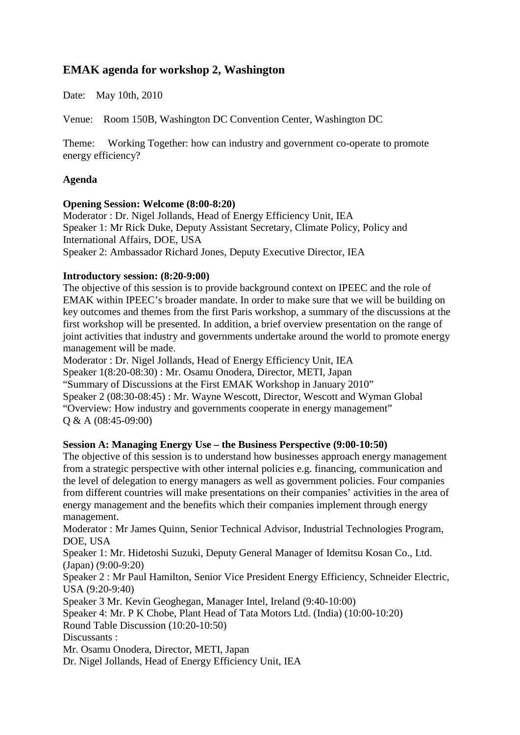# **EMAK agenda for workshop 2, Washington**

Date: May 10th, 2010

Venue: Room 150B, Washington DC Convention Center, Washington DC

Theme: Working Together: how can industry and government co-operate to promote energy efficiency?

## **Agenda**

#### **Opening Session: Welcome (8:00-8:20)**

Moderator : Dr. Nigel Jollands, Head of Energy Efficiency Unit, IEA Speaker 1: Mr Rick Duke, Deputy Assistant Secretary, Climate Policy, Policy and International Affairs, DOE, USA Speaker 2: Ambassador Richard Jones, Deputy Executive Director, IEA

## **Introductory session: (8:20-9:00)**

The objective of this session is to provide background context on IPEEC and the role of EMAK within IPEEC's broader mandate. In order to make sure that we will be building on key outcomes and themes from the first Paris workshop, a summary of the discussions at the first workshop will be presented. In addition, a brief overview presentation on the range of joint activities that industry and governments undertake around the world to promote energy management will be made.

Moderator : Dr. Nigel Jollands, Head of Energy Efficiency Unit, IEA Speaker 1(8:20-08:30) : Mr. Osamu Onodera, Director, METI, Japan "Summary of Discussions at the First EMAK Workshop in January 2010" Speaker 2 (08:30-08:45) : Mr. Wayne Wescott, Director, Wescott and Wyman Global "Overview: How industry and governments cooperate in energy management" Q & A (08:45-09:00)

## **Session A: Managing Energy Use – the Business Perspective (9:00-10:50)**

The objective of this session is to understand how businesses approach energy management from a strategic perspective with other internal policies e.g. financing, communication and the level of delegation to energy managers as well as government policies. Four companies from different countries will make presentations on their companies' activities in the area of energy management and the benefits which their companies implement through energy management.

Moderator : Mr James Quinn, Senior Technical Advisor, Industrial Technologies Program, DOE, USA

Speaker 1: Mr. Hidetoshi Suzuki, Deputy General Manager of Idemitsu Kosan Co., Ltd. (Japan) (9:00-9:20)

Speaker 2 : Mr Paul Hamilton, Senior Vice President Energy Efficiency, Schneider Electric, USA (9:20-9:40)

Speaker 3 Mr. Kevin Geoghegan, Manager Intel, Ireland (9:40-10:00)

Speaker 4: Mr. P K Chobe, Plant Head of Tata Motors Ltd. (India) (10:00-10:20)

Round Table Discussion (10:20-10:50)

Discussants :

Mr. Osamu Onodera, Director, METI, Japan

Dr. Nigel Jollands, Head of Energy Efficiency Unit, IEA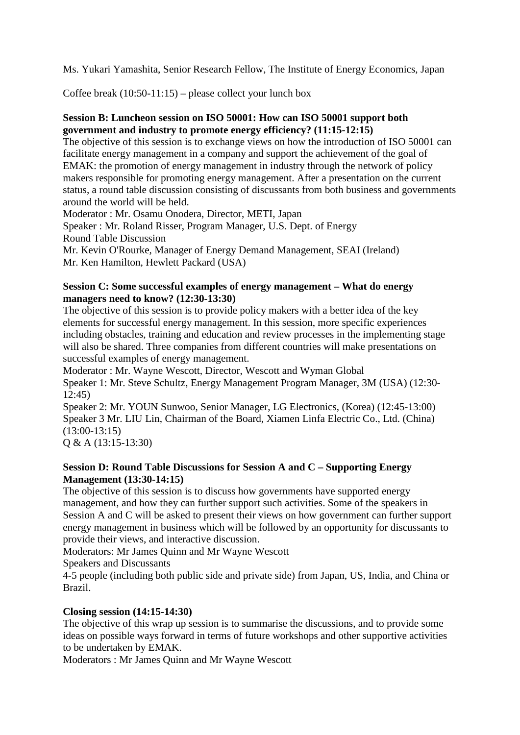Ms. Yukari Yamashita, Senior Research Fellow, The Institute of Energy Economics, Japan

Coffee break  $(10:50-11:15)$  – please collect your lunch box

## **Session B: Luncheon session on ISO 50001: How can ISO 50001 support both government and industry to promote energy efficiency? (11:15-12:15)**

The objective of this session is to exchange views on how the introduction of ISO 50001 can facilitate energy management in a company and support the achievement of the goal of EMAK: the promotion of energy management in industry through the network of policy makers responsible for promoting energy management. After a presentation on the current status, a round table discussion consisting of discussants from both business and governments around the world will be held.

Moderator : Mr. Osamu Onodera, Director, METI, Japan

Speaker : Mr. Roland Risser, Program Manager, U.S. Dept. of Energy Round Table Discussion

Mr. Kevin O'Rourke, Manager of Energy Demand Management, SEAI (Ireland) Mr. Ken Hamilton, Hewlett Packard (USA)

## **Session C: Some successful examples of energy management – What do energy managers need to know? (12:30-13:30)**

The objective of this session is to provide policy makers with a better idea of the key elements for successful energy management. In this session, more specific experiences including obstacles, training and education and review processes in the implementing stage will also be shared. Three companies from different countries will make presentations on successful examples of energy management.

Moderator : Mr. Wayne Wescott, Director, Wescott and Wyman Global Speaker 1: Mr. Steve Schultz, Energy Management Program Manager, 3M (USA) (12:30- 12:45)

Speaker 2: Mr. YOUN Sunwoo, Senior Manager, LG Electronics, (Korea) (12:45-13:00) Speaker 3 Mr. LIU Lin, Chairman of the Board, Xiamen Linfa Electric Co., Ltd. (China) (13:00-13:15)

Q & A (13:15-13:30)

## **Session D: Round Table Discussions for Session A and C – Supporting Energy Management (13:30-14:15)**

The objective of this session is to discuss how governments have supported energy management, and how they can further support such activities. Some of the speakers in Session A and C will be asked to present their views on how government can further support energy management in business which will be followed by an opportunity for discussants to provide their views, and interactive discussion.

Moderators: Mr James Quinn and Mr Wayne Wescott

Speakers and Discussants

4-5 people (including both public side and private side) from Japan, US, India, and China or Brazil.

## **Closing session (14:15-14:30)**

The objective of this wrap up session is to summarise the discussions, and to provide some ideas on possible ways forward in terms of future workshops and other supportive activities to be undertaken by EMAK.

Moderators : Mr James Quinn and Mr Wayne Wescott